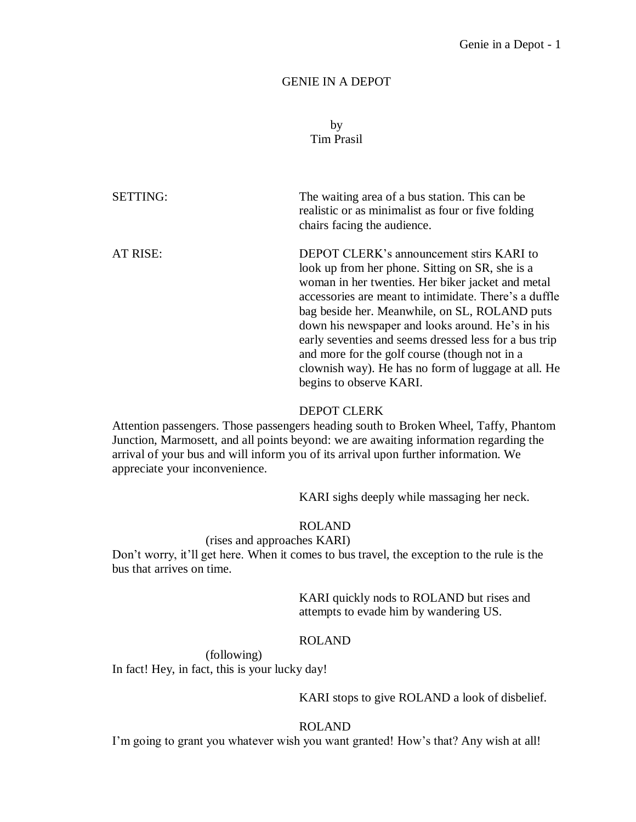# GENIE IN A DEPOT

# by Tim Prasil

SETTING: The waiting area of a bus station. This can be realistic or as minimalist as four or five folding chairs facing the audience. AT RISE: DEPOT CLERK's announcement stirs KARI to look up from her phone. Sitting on SR, she is a woman in her twenties. Her biker jacket and metal accessories are meant to intimidate. There's a duffle bag beside her. Meanwhile, on SL, ROLAND puts down his newspaper and looks around. He's in his early seventies and seems dressed less for a bus trip and more for the golf course (though not in a clownish way). He has no form of luggage at all. He begins to observe KARI.

### DEPOT CLERK

Attention passengers. Those passengers heading south to Broken Wheel, Taffy, Phantom Junction, Marmosett, and all points beyond: we are awaiting information regarding the arrival of your bus and will inform you of its arrival upon further information. We appreciate your inconvenience.

KARI sighs deeply while massaging her neck.

# ROLAND

# (rises and approaches KARI)

Don't worry, it'll get here. When it comes to bus travel, the exception to the rule is the bus that arrives on time.

> KARI quickly nods to ROLAND but rises and attempts to evade him by wandering US.

## ROLAND

(following)

In fact! Hey, in fact, this is your lucky day!

KARI stops to give ROLAND a look of disbelief.

### ROLAND

I'm going to grant you whatever wish you want granted! How's that? Any wish at all!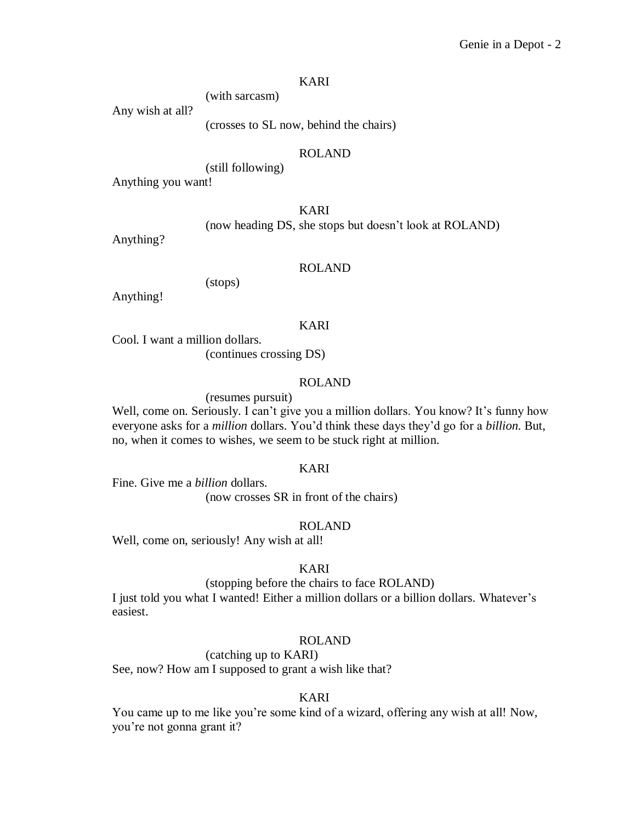(with sarcasm)

Any wish at all?

(crosses to SL now, behind the chairs)

## ROLAND

(still following)

Anything you want!

# KARI

(now heading DS, she stops but doesn't look at ROLAND)

Anything?

# ROLAND

Anything!

# KARI

Cool. I want a million dollars. (continues crossing DS)

(stops)

# ROLAND

(resumes pursuit)

Well, come on. Seriously. I can't give you a million dollars. You know? It's funny how everyone asks for a *million* dollars. You'd think these days they'd go for a *billion.* But, no, when it comes to wishes, we seem to be stuck right at million.

#### KARI

Fine. Give me a *billion* dollars. (now crosses SR in front of the chairs)

#### ROLAND

Well, come on, seriously! Any wish at all!

### KARI

## (stopping before the chairs to face ROLAND)

I just told you what I wanted! Either a million dollars or a billion dollars. Whatever's easiest.

# ROLAND

#### (catching up to KARI)

See, now? How am I supposed to grant a wish like that?

#### KARI

You came up to me like you're some kind of a wizard, offering any wish at all! Now, you're not gonna grant it?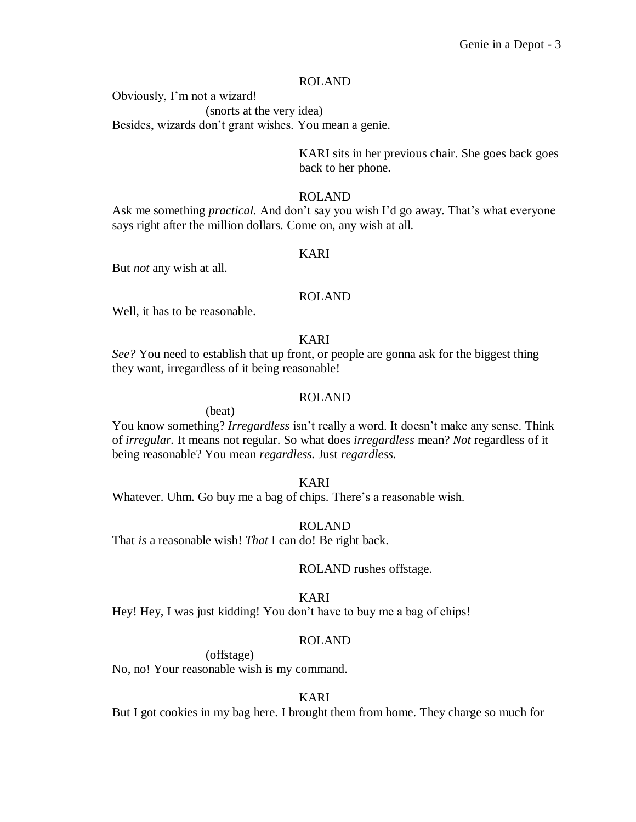Obviously, I'm not a wizard! (snorts at the very idea) Besides, wizards don't grant wishes. You mean a genie.

> KARI sits in her previous chair. She goes back goes back to her phone.

### ROLAND

Ask me something *practical.* And don't say you wish I'd go away. That's what everyone says right after the million dollars. Come on, any wish at all.

#### KARI

But *not* any wish at all.

### ROLAND

Well, it has to be reasonable.

#### KARI

*See?* You need to establish that up front, or people are gonna ask for the biggest thing they want, irregardless of it being reasonable!

## ROLAND

## (beat)

You know something? *Irregardless* isn't really a word. It doesn't make any sense. Think of *irregular.* It means not regular. So what does *irregardless* mean? *Not* regardless of it being reasonable? You mean *regardless.* Just *regardless.*

# KARI

Whatever. Uhm. Go buy me a bag of chips. There's a reasonable wish.

ROLAND

That *is* a reasonable wish! *That* I can do! Be right back.

## ROLAND rushes offstage.

#### KARI

Hey! Hey, I was just kidding! You don't have to buy me a bag of chips!

#### ROLAND

(offstage)

No, no! Your reasonable wish is my command.

### KARI

But I got cookies in my bag here. I brought them from home. They charge so much for—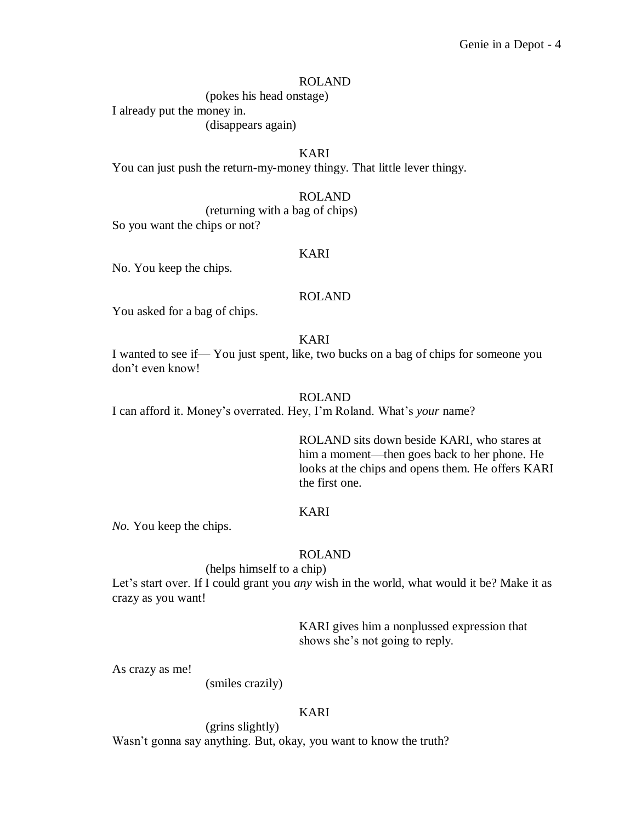(pokes his head onstage) I already put the money in. (disappears again)

# KARI

You can just push the return-my-money thingy. That little lever thingy.

# ROLAND

(returning with a bag of chips)

So you want the chips or not?

#### KARI

No. You keep the chips.

### ROLAND

You asked for a bag of chips.

#### KARI

I wanted to see if— You just spent, like, two bucks on a bag of chips for someone you don't even know!

## ROLAND

I can afford it. Money's overrated. Hey, I'm Roland. What's *your* name?

ROLAND sits down beside KARI, who stares at him a moment—then goes back to her phone. He looks at the chips and opens them. He offers KARI the first one.

#### KARI

*No.* You keep the chips.

# ROLAND

(helps himself to a chip)

Let's start over. If I could grant you *any* wish in the world, what would it be? Make it as crazy as you want!

> KARI gives him a nonplussed expression that shows she's not going to reply.

As crazy as me!

(smiles crazily)

#### KARI

(grins slightly) Wasn't gonna say anything. But, okay, you want to know the truth?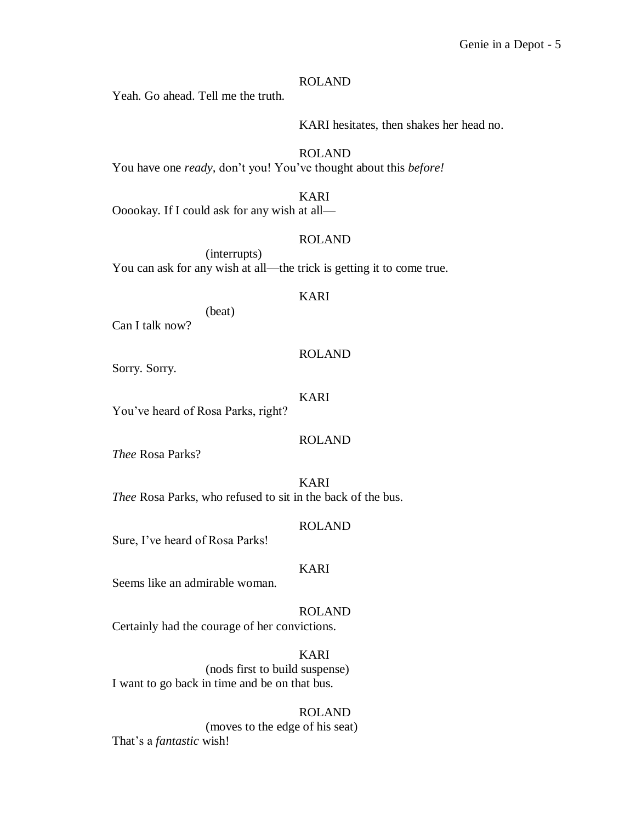Yeah. Go ahead. Tell me the truth.

KARI hesitates, then shakes her head no.

# ROLAND

You have one *ready,* don't you! You've thought about this *before!*

# KARI

Ooookay. If I could ask for any wish at all—

# ROLAND

(interrupts) You can ask for any wish at all—the trick is getting it to come true.

### KARI

(beat)

Can I talk now?

## ROLAND

Sorry. Sorry.

## KARI

You've heard of Rosa Parks, right?

# ROLAND

*Thee* Rosa Parks?

KARI *Thee* Rosa Parks, who refused to sit in the back of the bus.

#### ROLAND

Sure, I've heard of Rosa Parks!

### KARI

Seems like an admirable woman.

## ROLAND

Certainly had the courage of her convictions.

# KARI

(nods first to build suspense) I want to go back in time and be on that bus.

### ROLAND

(moves to the edge of his seat)

That's a *fantastic* wish!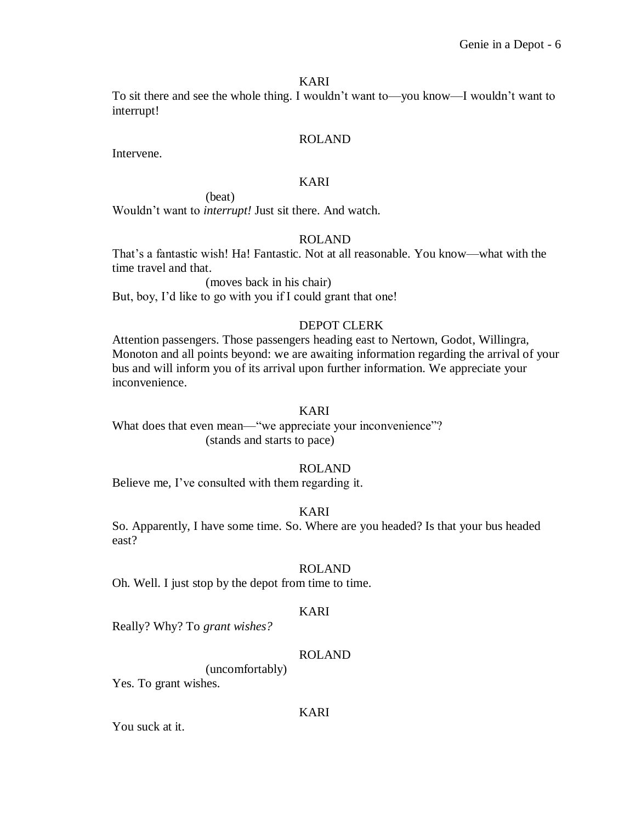To sit there and see the whole thing. I wouldn't want to—you know—I wouldn't want to interrupt!

# ROLAND

Intervene.

## KARI

(beat) Wouldn't want to *interrupt!* Just sit there. And watch.

# ROLAND

That's a fantastic wish! Ha! Fantastic. Not at all reasonable. You know—what with the time travel and that.

(moves back in his chair) But, boy, I'd like to go with you if I could grant that one!

# DEPOT CLERK

Attention passengers. Those passengers heading east to Nertown, Godot, Willingra, Monoton and all points beyond: we are awaiting information regarding the arrival of your bus and will inform you of its arrival upon further information. We appreciate your inconvenience.

#### KARI

What does that even mean—"we appreciate your inconvenience"? (stands and starts to pace)

# ROLAND

Believe me, I've consulted with them regarding it.

## KARI

So. Apparently, I have some time. So. Where are you headed? Is that your bus headed east?

#### ROLAND

Oh. Well. I just stop by the depot from time to time.

## KARI

Really? Why? To *grant wishes?*

## ROLAND

(uncomfortably) Yes. To grant wishes.

#### KARI

You suck at it.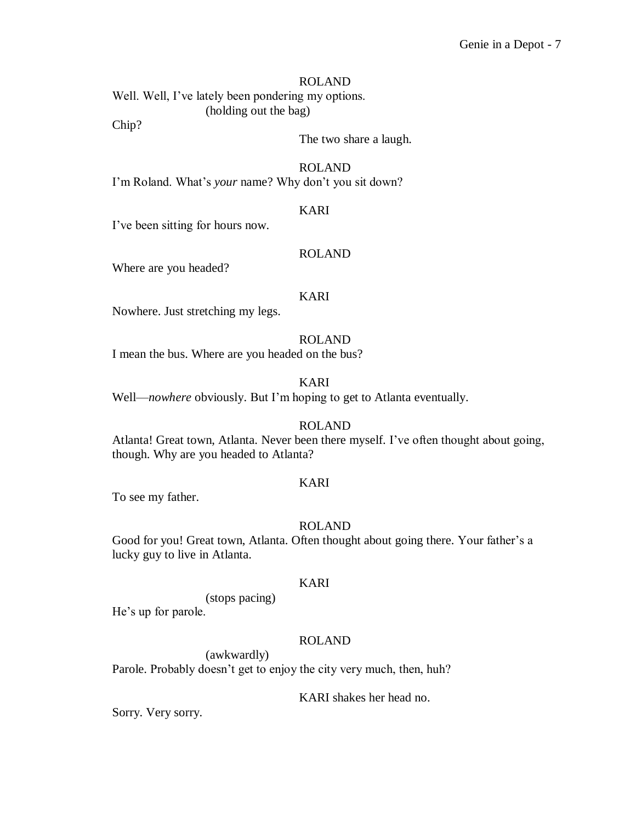Well. Well, I've lately been pondering my options. (holding out the bag)

Chip?

The two share a laugh.

ROLAND

I'm Roland. What's *your* name? Why don't you sit down?

### KARI

I've been sitting for hours now.

### ROLAND

Where are you headed?

#### KARI

Nowhere. Just stretching my legs.

# ROLAND

I mean the bus. Where are you headed on the bus?

KARI

Well—*nowhere* obviously. But I'm hoping to get to Atlanta eventually.

## ROLAND

Atlanta! Great town, Atlanta. Never been there myself. I've often thought about going, though. Why are you headed to Atlanta?

## KARI

To see my father.

## ROLAND

Good for you! Great town, Atlanta. Often thought about going there. Your father's a lucky guy to live in Atlanta.

# KARI

(stops pacing) He's up for parole.

# ROLAND

(awkwardly) Parole. Probably doesn't get to enjoy the city very much, then, huh?

KARI shakes her head no.

Sorry. Very sorry.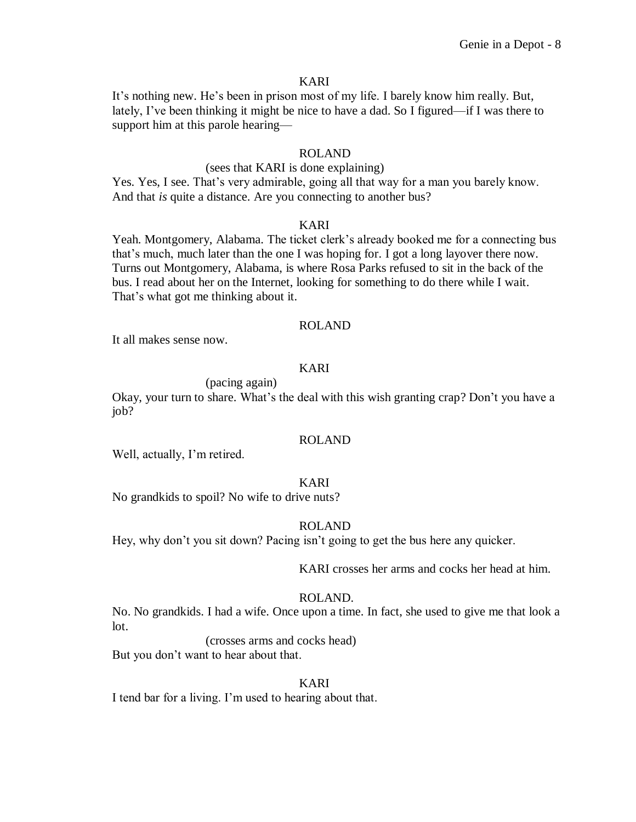It's nothing new. He's been in prison most of my life. I barely know him really. But, lately, I've been thinking it might be nice to have a dad. So I figured—if I was there to support him at this parole hearing—

## ROLAND

#### (sees that KARI is done explaining)

Yes. Yes, I see. That's very admirable, going all that way for a man you barely know. And that *is* quite a distance. Are you connecting to another bus?

## KARI

Yeah. Montgomery, Alabama. The ticket clerk's already booked me for a connecting bus that's much, much later than the one I was hoping for. I got a long layover there now. Turns out Montgomery, Alabama, is where Rosa Parks refused to sit in the back of the bus. I read about her on the Internet, looking for something to do there while I wait. That's what got me thinking about it.

# ROLAND

It all makes sense now.

# KARI

(pacing again)

Okay, your turn to share. What's the deal with this wish granting crap? Don't you have a job?

## ROLAND

Well, actually, I'm retired.

## KARI

No grandkids to spoil? No wife to drive nuts?

## ROLAND

Hey, why don't you sit down? Pacing isn't going to get the bus here any quicker.

KARI crosses her arms and cocks her head at him.

#### ROLAND.

No. No grandkids. I had a wife. Once upon a time. In fact, she used to give me that look a lot.

(crosses arms and cocks head)

But you don't want to hear about that.

#### KARI

I tend bar for a living. I'm used to hearing about that.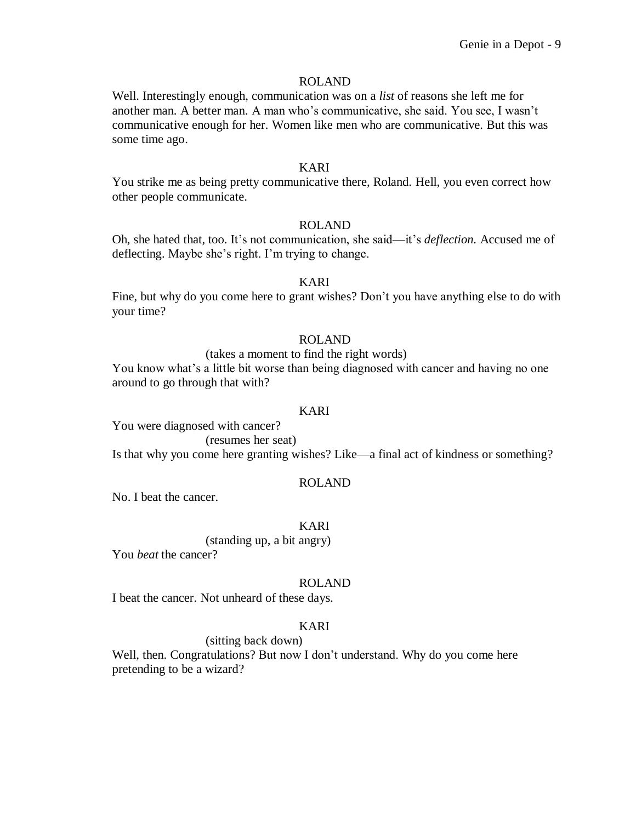Well. Interestingly enough, communication was on a *list* of reasons she left me for another man. A better man. A man who's communicative, she said. You see, I wasn't communicative enough for her. Women like men who are communicative. But this was some time ago.

#### KARI

You strike me as being pretty communicative there, Roland. Hell, you even correct how other people communicate.

# ROLAND

Oh, she hated that, too. It's not communication, she said—it's *deflection.* Accused me of deflecting. Maybe she's right. I'm trying to change.

### KARI

Fine, but why do you come here to grant wishes? Don't you have anything else to do with your time?

#### ROLAND

## (takes a moment to find the right words)

You know what's a little bit worse than being diagnosed with cancer and having no one around to go through that with?

## KARI

You were diagnosed with cancer? (resumes her seat) Is that why you come here granting wishes? Like—a final act of kindness or something?

#### ROLAND

No. I beat the cancer.

KARI

(standing up, a bit angry)

You *beat* the cancer?

#### ROLAND

I beat the cancer. Not unheard of these days.

### KARI

(sitting back down)

Well, then. Congratulations? But now I don't understand. Why do you come here pretending to be a wizard?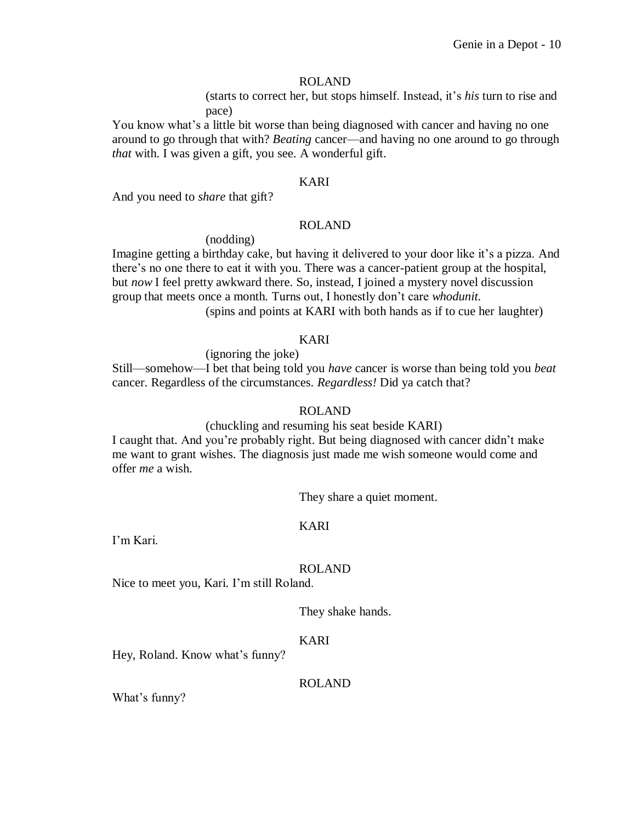(starts to correct her, but stops himself. Instead, it's *his* turn to rise and pace)

You know what's a little bit worse than being diagnosed with cancer and having no one around to go through that with? *Beating* cancer—and having no one around to go through *that* with. I was given a gift, you see. A wonderful gift.

# KARI

And you need to *share* that gift?

# ROLAND

(nodding)

Imagine getting a birthday cake, but having it delivered to your door like it's a pizza. And there's no one there to eat it with you. There was a cancer-patient group at the hospital, but *now* I feel pretty awkward there. So, instead, I joined a mystery novel discussion group that meets once a month. Turns out, I honestly don't care *whodunit.* (spins and points at KARI with both hands as if to cue her laughter)

# KARI

(ignoring the joke)

Still—somehow—I bet that being told you *have* cancer is worse than being told you *beat* cancer. Regardless of the circumstances. *Regardless!* Did ya catch that?

# ROLAND

(chuckling and resuming his seat beside KARI)

I caught that. And you're probably right. But being diagnosed with cancer didn't make me want to grant wishes. The diagnosis just made me wish someone would come and offer *me* a wish.

They share a quiet moment.

# KARI

I'm Kari.

# ROLAND

Nice to meet you, Kari. I'm still Roland.

They shake hands.

# KARI

Hey, Roland. Know what's funny?

## ROLAND

What's funny?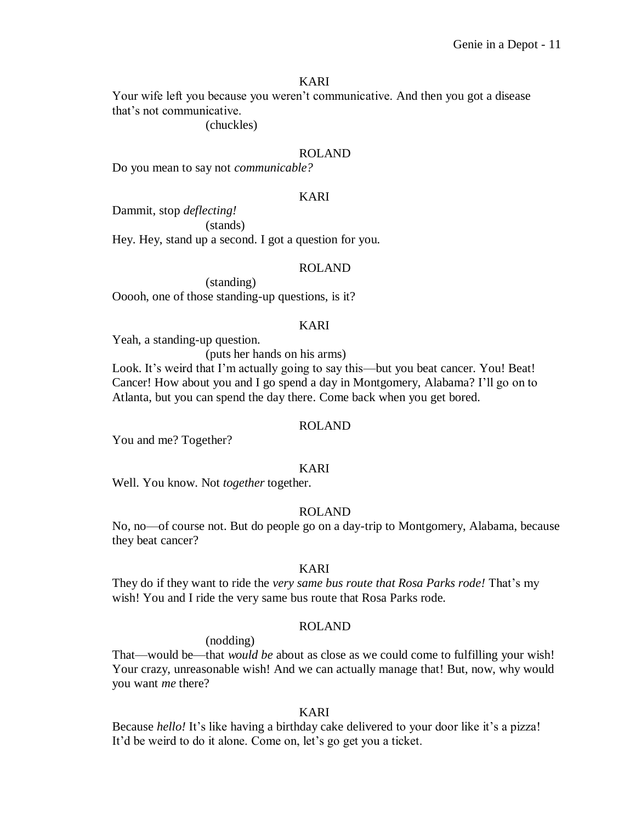Your wife left you because you weren't communicative. And then you got a disease that's not communicative.

(chuckles)

# ROLAND

Do you mean to say not *communicable?*

## KARI

Dammit, stop *deflecting!* (stands) Hey. Hey, stand up a second. I got a question for you.

#### ROLAND

(standing) Ooooh, one of those standing-up questions, is it?

## KARI

Yeah, a standing-up question.

(puts her hands on his arms)

Look. It's weird that I'm actually going to say this—but you beat cancer. You! Beat! Cancer! How about you and I go spend a day in Montgomery, Alabama? I'll go on to Atlanta, but you can spend the day there. Come back when you get bored.

## ROLAND

You and me? Together?

#### KARI

Well. You know. Not *together* together.

#### ROLAND

No, no—of course not. But do people go on a day-trip to Montgomery, Alabama, because they beat cancer?

### KARI

They do if they want to ride the *very same bus route that Rosa Parks rode!* That's my wish! You and I ride the very same bus route that Rosa Parks rode.

#### ROLAND

# (nodding)

That—would be—that *would be* about as close as we could come to fulfilling your wish! Your crazy, unreasonable wish! And we can actually manage that! But, now, why would you want *me* there?

#### KARI

Because *hello!* It's like having a birthday cake delivered to your door like it's a pizza! It'd be weird to do it alone. Come on, let's go get you a ticket.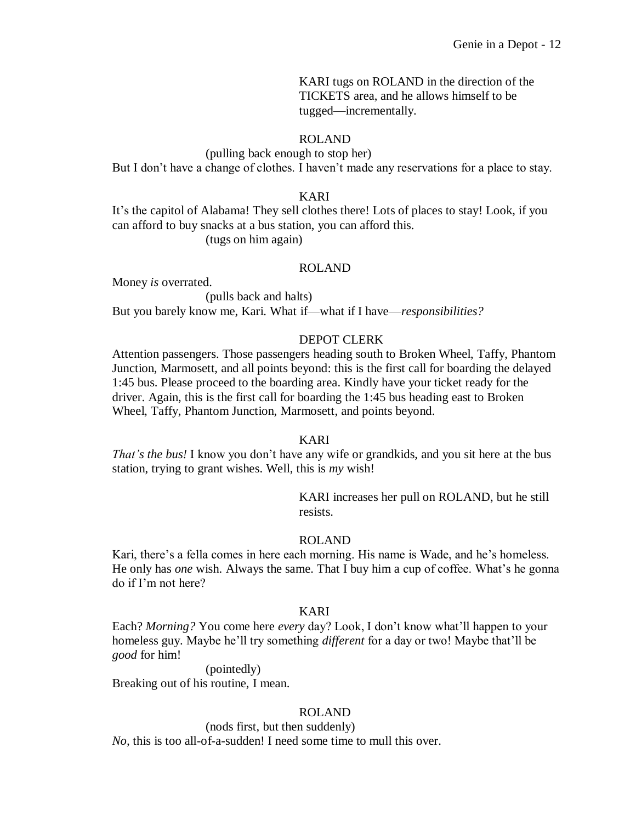KARI tugs on ROLAND in the direction of the TICKETS area, and he allows himself to be tugged—incrementally.

## ROLAND

(pulling back enough to stop her) But I don't have a change of clothes. I haven't made any reservations for a place to stay.

## KARI

It's the capitol of Alabama! They sell clothes there! Lots of places to stay! Look, if you can afford to buy snacks at a bus station, you can afford this. (tugs on him again)

#### ROLAND

Money *is* overrated.

(pulls back and halts)

But you barely know me, Kari. What if—what if I have—*responsibilities?*

## DEPOT CLERK

Attention passengers. Those passengers heading south to Broken Wheel, Taffy, Phantom Junction, Marmosett, and all points beyond: this is the first call for boarding the delayed 1:45 bus. Please proceed to the boarding area. Kindly have your ticket ready for the driver. Again, this is the first call for boarding the 1:45 bus heading east to Broken Wheel, Taffy, Phantom Junction, Marmosett, and points beyond.

# KARI

*That's the bus!* I know you don't have any wife or grandkids, and you sit here at the bus station, trying to grant wishes. Well, this is *my* wish!

> KARI increases her pull on ROLAND, but he still resists.

#### ROLAND

Kari, there's a fella comes in here each morning. His name is Wade, and he's homeless. He only has *one* wish. Always the same. That I buy him a cup of coffee. What's he gonna do if I'm not here?

### KARI

Each? *Morning?* You come here *every* day? Look, I don't know what'll happen to your homeless guy. Maybe he'll try something *different* for a day or two! Maybe that'll be *good* for him!

(pointedly) Breaking out of his routine, I mean.

#### ROLAND

(nods first, but then suddenly)

*No,* this is too all-of-a-sudden! I need some time to mull this over.